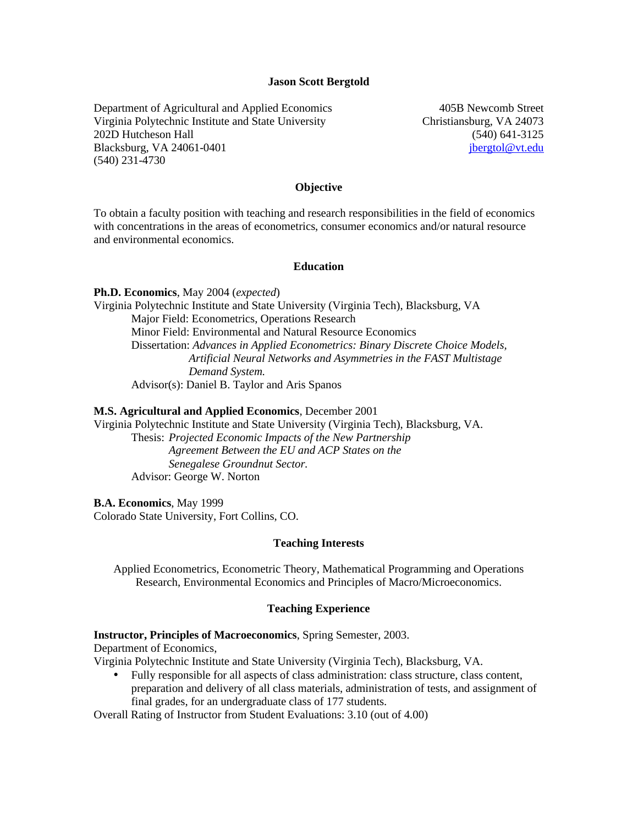#### **Jason Scott Bergtold**

Department of Agricultural and Applied Economics Virginia Polytechnic Institute and State University 202D Hutcheson Hall Blacksburg, VA 24061-0401 (540) 231-4730

405B Newcomb Street Christiansburg, VA 24073 (540) 641-3125 jbergtol@vt.edu

#### **Objective**

To obtain a faculty position with teaching and research responsibilities in the field of economics with concentrations in the areas of econometrics, consumer economics and/or natural resource and environmental economics.

#### **Education**

**Ph.D. Economics**, May 2004 (*expected*)

Virginia Polytechnic Institute and State University (Virginia Tech), Blacksburg, VA Major Field: Econometrics, Operations Research Minor Field: Environmental and Natural Resource Economics Dissertation: *Advances in Applied Econometrics: Binary Discrete Choice Models, Artificial Neural Networks and Asymmetries in the FAST Multistage Demand System.* Advisor(s): Daniel B. Taylor and Aris Spanos

#### **M.S. Agricultural and Applied Economics**, December 2001

Virginia Polytechnic Institute and State University (Virginia Tech), Blacksburg, VA.

Thesis: *Projected Economic Impacts of the New Partnership Agreement Between the EU and ACP States on the Senegalese Groundnut Sector.*  Advisor: George W. Norton

**B.A. Economics**, May 1999

Colorado State University, Fort Collins, CO.

#### **Teaching Interests**

Applied Econometrics, Econometric Theory, Mathematical Programming and Operations Research, Environmental Economics and Principles of Macro/Microeconomics.

#### **Teaching Experience**

**Instructor, Principles of Macroeconomics**, Spring Semester, 2003.

Department of Economics,

Virginia Polytechnic Institute and State University (Virginia Tech), Blacksburg, VA.

• Fully responsible for all aspects of class administration: class structure, class content, preparation and delivery of all class materials, administration of tests, and assignment of final grades, for an undergraduate class of 177 students.

Overall Rating of Instructor from Student Evaluations: 3.10 (out of 4.00)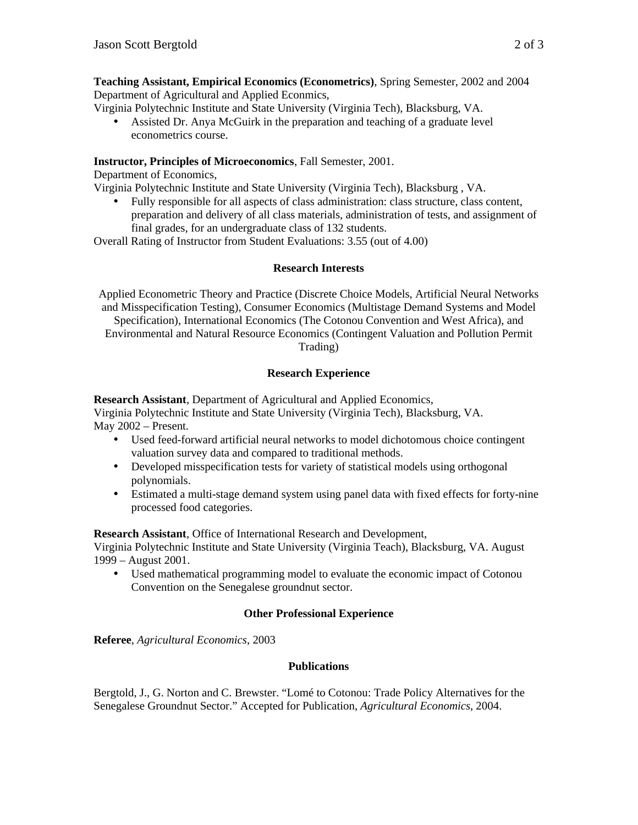**Teaching Assistant, Empirical Economics (Econometrics)**, Spring Semester, 2002 and 2004 Department of Agricultural and Applied Econmics,

Virginia Polytechnic Institute and State University (Virginia Tech), Blacksburg, VA.

• Assisted Dr. Anya McGuirk in the preparation and teaching of a graduate level econometrics course.

# **Instructor, Principles of Microeconomics**, Fall Semester, 2001.

Department of Economics,

Virginia Polytechnic Institute and State University (Virginia Tech), Blacksburg , VA.

• Fully responsible for all aspects of class administration: class structure, class content, preparation and delivery of all class materials, administration of tests, and assignment of final grades, for an undergraduate class of 132 students.

Overall Rating of Instructor from Student Evaluations: 3.55 (out of 4.00)

# **Research Interests**

Applied Econometric Theory and Practice (Discrete Choice Models, Artificial Neural Networks and Misspecification Testing), Consumer Economics (Multistage Demand Systems and Model Specification), International Economics (The Cotonou Convention and West Africa), and Environmental and Natural Resource Economics (Contingent Valuation and Pollution Permit Trading)

# **Research Experience**

**Research Assistant**, Department of Agricultural and Applied Economics, Virginia Polytechnic Institute and State University (Virginia Tech), Blacksburg, VA. May 2002 – Present.

- Used feed-forward artificial neural networks to model dichotomous choice contingent valuation survey data and compared to traditional methods.
- Developed misspecification tests for variety of statistical models using orthogonal polynomials.
- Estimated a multi-stage demand system using panel data with fixed effects for forty-nine processed food categories.

**Research Assistant**, Office of International Research and Development,

Virginia Polytechnic Institute and State University (Virginia Teach), Blacksburg, VA. August 1999 – August 2001.

• Used mathematical programming model to evaluate the economic impact of Cotonou Convention on the Senegalese groundnut sector.

# **Other Professional Experience**

**Referee**, *Agricultural Economics*, 2003

# **Publications**

Bergtold, J., G. Norton and C. Brewster. "Lomé to Cotonou: Trade Policy Alternatives for the Senegalese Groundnut Sector." Accepted for Publication, *Agricultural Economics*, 2004.